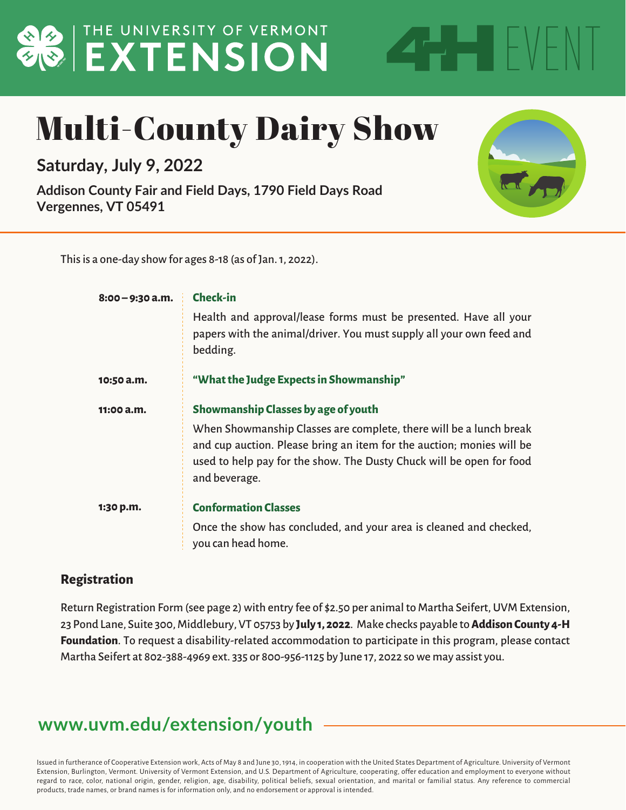## **BUTHE UNIVERSITY OF VERMONT**

### Multi-County Dairy Show

**Saturday, July 9, 2022**

**Addison County Fair and Field Days, 1790 Field Days Road Vergennes, VT 05491**



EVENT

This is a one-day show for ages 8-18 (as of Jan. 1, 2022).

| $8:00 - 9:30$ a.m. | <b>Check-in</b>                                                                                                                                                                                                                      |  |  |
|--------------------|--------------------------------------------------------------------------------------------------------------------------------------------------------------------------------------------------------------------------------------|--|--|
|                    | Health and approval/lease forms must be presented. Have all your<br>papers with the animal/driver. You must supply all your own feed and<br>bedding.                                                                                 |  |  |
| 10:50 a.m.         | "What the Judge Expects in Showmanship"                                                                                                                                                                                              |  |  |
| 11:00a.m.          | Showmanship Classes by age of youth                                                                                                                                                                                                  |  |  |
|                    | When Showmanship Classes are complete, there will be a lunch break<br>and cup auction. Please bring an item for the auction; monies will be<br>used to help pay for the show. The Dusty Chuck will be open for food<br>and beverage. |  |  |
| 1:30 p.m.          | <b>Conformation Classes</b>                                                                                                                                                                                                          |  |  |
|                    | Once the show has concluded, and your area is cleaned and checked,<br>you can head home.                                                                                                                                             |  |  |

#### **Registration**

Return Registration Form (see page 2) with entry fee of \$2.50 per animal to Martha Seifert, UVM Extension, 23 Pond Lane, Suite 300, Middlebury, VT 05753 by **July 1, 2022**. Make checks payable to **Addison County 4-H Foundation**. To request a disability-related accommodation to participate in this program, please contact Martha Seifert at 802-388-4969 ext. 335 or 800-956-1125 by June 17, 2022 so we may assist you.

#### **www.uvm.edu/extension/youth**

Issued in furtherance of Cooperative Extension work, Acts of May 8 and June 30, 1914, in cooperation with the United States Department of Agriculture. University of Vermont Extension, Burlington, Vermont. University of Vermont Extension, and U.S. Department of Agriculture, cooperating, offer education and employment to everyone without regard to race, color, national origin, gender, religion, age, disability, political beliefs, sexual orientation, and marital or familial status. Any reference to commercial products, trade names, or brand names is for information only, and no endorsement or approval is intended.